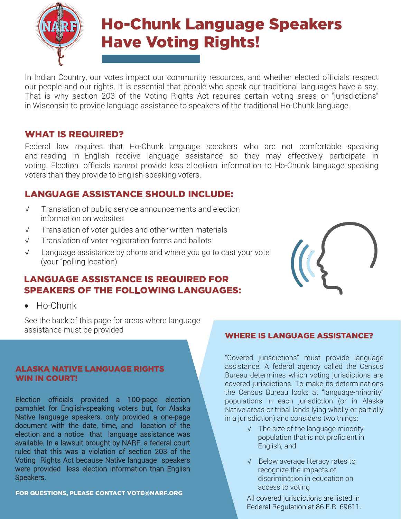

In Indian Country, our votes impact our community resources, and whether elected officials respect our people and our rights. It is essential that people who speak our traditional languages have a say. That is why section 203 of the Voting Rights Act requires certain voting areas or "jurisdictions" in Wisconsin to provide language assistance to speakers of the traditional Ho-Chunk language.

## WHAT IS REQUIRED?

Federal law requires that Ho-Chunk language speakers who are not comfortable speaking and reading in English receive language assistance so they may effectively participate in voting. Election officials cannot provide less election information to Ho-Chunk language speaking voters than they provide to English-speaking voters.

## LANGUAGE ASSISTANCE SHOULD INCLUDE:

- √ Translation of public service announcements and election information on websites
- √ Translation of voter guides and other written materials
- √ Translation of voter registration forms and ballots
- √ Language assistance by phone and where you go to cast your vote (your "polling location)

## LANGUAGE ASSISTANCE IS REQUIRED FOR SPEAKERS OF THE FOLLOWING LANGUAGES:

• Ho-Chunk

See the back of this page for areas where language assistance must be provided

#### ALASKA NATIVE LANGUAGE RIGHTS WIN IN COURT!

Election officials provided a 100-page election pamphlet for English-speaking voters but, for Alaska Native language speakers, only provided a one-page document with the date, time, and location of the election and a notice that language assistance was available. In a lawsuit brought by NARF, a federal court ruled that this was a violation of section 203 of the Voting Rights Act because Native language speakers were provided less election information than English Speakers.

FOR QUESTIONS, PLEASE CONTACT VOTE[@NARF.ORG](mailto:VOTE@NARF.ORG)

#### WHERE IS LANGUAGE ASSISTANCE?

"Covered jurisdictions" must provide language assistance. A federal agency called the Census Bureau determines which voting jurisdictions are covered jurisdictions. To make its determinations the Census Bureau looks at "language-minority" populations in each jurisdiction (or in Alaska Native areas or tribal lands lying wholly or partially in a jurisdiction) and considers two things:

- √ The size of the language minority population that is not proficient in English; and
- √ Below average literacy rates to recognize the impacts of discrimination in education on access to voting

All covered jurisdictions are listed in Federal Regulation at 86.F.R. 69611.